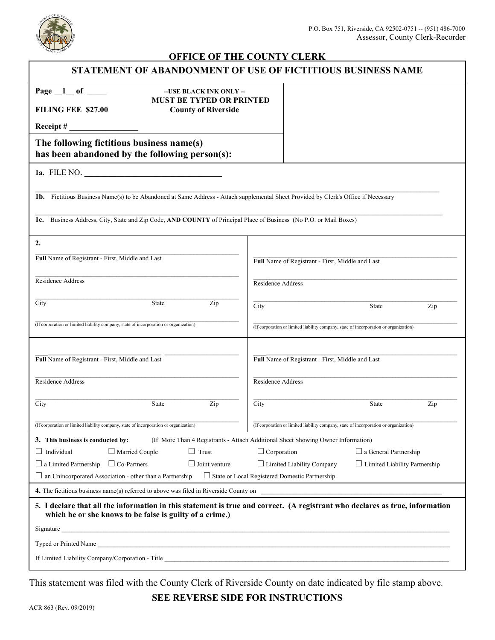

## **OFFICE OF THE COUNTY CLERK**

| STATEMENT OF ABANDONMENT OF USE OF FICTITIOUS BUSINESS NAME                                                                                                                              |                                                                                       |
|------------------------------------------------------------------------------------------------------------------------------------------------------------------------------------------|---------------------------------------------------------------------------------------|
| Page $1$ of $\qquad$<br>-- USE BLACK INK ONLY --                                                                                                                                         |                                                                                       |
| <b>MUST BE TYPED OR PRINTED</b><br><b>FILING FEE \$27.00</b><br><b>County of Riverside</b>                                                                                               |                                                                                       |
| Receipt $#_$                                                                                                                                                                             |                                                                                       |
| The following fictitious business name(s)                                                                                                                                                |                                                                                       |
| has been abandoned by the following person(s):                                                                                                                                           |                                                                                       |
| 1a. FILE NO.                                                                                                                                                                             |                                                                                       |
| 1b. Fictitious Business Name(s) to be Abandoned at Same Address - Attach supplemental Sheet Provided by Clerk's Office if Necessary                                                      |                                                                                       |
|                                                                                                                                                                                          |                                                                                       |
| 1c. Business Address, City, State and Zip Code, AND COUNTY of Principal Place of Business (No P.O. or Mail Boxes)                                                                        |                                                                                       |
| 2.                                                                                                                                                                                       |                                                                                       |
| Full Name of Registrant - First, Middle and Last                                                                                                                                         | Full Name of Registrant - First, Middle and Last                                      |
| Residence Address                                                                                                                                                                        | Residence Address                                                                     |
|                                                                                                                                                                                          |                                                                                       |
| City<br>Zip<br><b>State</b>                                                                                                                                                              | City<br>State<br>Zip                                                                  |
| (If corporation or limited liability company, state of incorporation or organization)                                                                                                    | (If corporation or limited liability company, state of incorporation or organization) |
|                                                                                                                                                                                          |                                                                                       |
| Full Name of Registrant - First, Middle and Last                                                                                                                                         | Full Name of Registrant - First, Middle and Last                                      |
| Residence Address                                                                                                                                                                        | Residence Address                                                                     |
| City<br>Zip<br>State                                                                                                                                                                     | City<br>State<br>Zip                                                                  |
| (If corporation or limited liability company, state of incorporation or organization)                                                                                                    | (If corporation or limited liability company, state of incorporation or organization) |
| 3. This business is conducted by:<br>(If More Than 4 Registrants - Attach Additional Sheet Showing Owner Information)                                                                    |                                                                                       |
| $\Box$ Trust<br>$\Box$ Individual<br>$\Box$ Married Couple                                                                                                                               | $\Box$ Corporation<br>$\Box$ a General Partnership                                    |
| $\Box$ a Limited Partnership $\Box$ Co-Partners<br>$\Box$ Joint venture                                                                                                                  | $\Box$ Limited Liability Company<br>$\Box$ Limited Liability Partnership              |
| $\Box$ an Unincorporated Association - other than a Partnership<br>□ State or Local Registered Domestic Partnership                                                                      |                                                                                       |
| 4. The fictitious business name(s) referred to above was filed in Riverside County on                                                                                                    |                                                                                       |
| 5. I declare that all the information in this statement is true and correct. (A registrant who declares as true, information<br>which he or she knows to be false is guilty of a crime.) |                                                                                       |
|                                                                                                                                                                                          |                                                                                       |
|                                                                                                                                                                                          |                                                                                       |
| If Limited Liability Company/Corporation - Title <b>Example 2018</b>                                                                                                                     |                                                                                       |
|                                                                                                                                                                                          |                                                                                       |

This statement was filed with the County Clerk of Riverside County on date indicated by file stamp above.